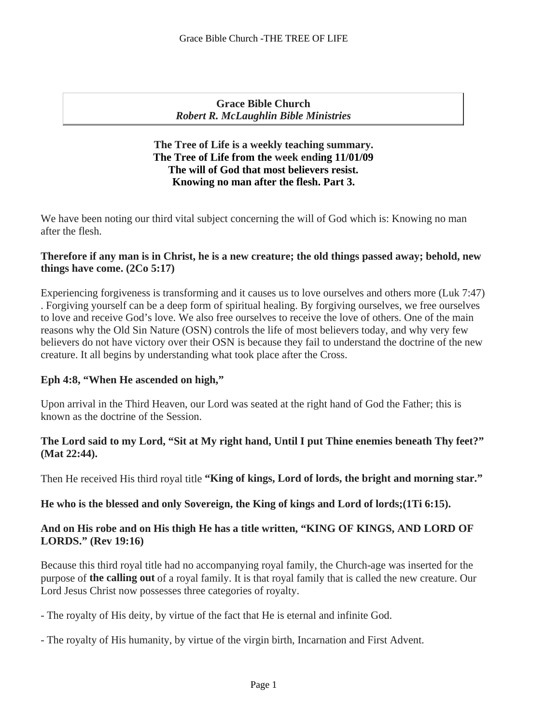**Grace Bible Church** *Robert R. McLaughlin Bible Ministries*

## **The Tree of Life is a weekly teaching summary. The Tree of Life from the week ending 11/01/09 The will of God that most believers resist. Knowing no man after the flesh. Part 3.**

We have been noting our third vital subject concerning the will of God which is: Knowing no man after the flesh.

## **Therefore if any man is in Christ, he is a new creature; the old things passed away; behold, new things have come. (2Co 5:17)**

Experiencing forgiveness is transforming and it causes us to love ourselves and others more (Luk 7:47) . Forgiving yourself can be a deep form of spiritual healing. By forgiving ourselves, we free ourselves to love and receive God's love. We also free ourselves to receive the love of others. One of the main reasons why the Old Sin Nature (OSN) controls the life of most believers today, and why very few believers do not have victory over their OSN is because they fail to understand the doctrine of the new creature. It all begins by understanding what took place after the Cross.

# **Eph 4:8, "When He ascended on high,"**

Upon arrival in the Third Heaven, our Lord was seated at the right hand of God the Father; this is known as the doctrine of the Session.

## **The Lord said to my Lord, "Sit at My right hand, Until I put Thine enemies beneath Thy feet?" (Mat 22:44).**

Then He received His third royal title **"King of kings, Lord of lords, the bright and morning star."**

### **He who is the blessed and only Sovereign, the King of kings and Lord of lords;(1Ti 6:15).**

# **And on His robe and on His thigh He has a title written, "KING OF KINGS, AND LORD OF LORDS." (Rev 19:16)**

Because this third royal title had no accompanying royal family, the Church-age was inserted for the purpose of **the calling out** of a royal family. It is that royal family that is called the new creature. Our Lord Jesus Christ now possesses three categories of royalty.

- The royalty of His deity, by virtue of the fact that He is eternal and infinite God.
- The royalty of His humanity, by virtue of the virgin birth, Incarnation and First Advent.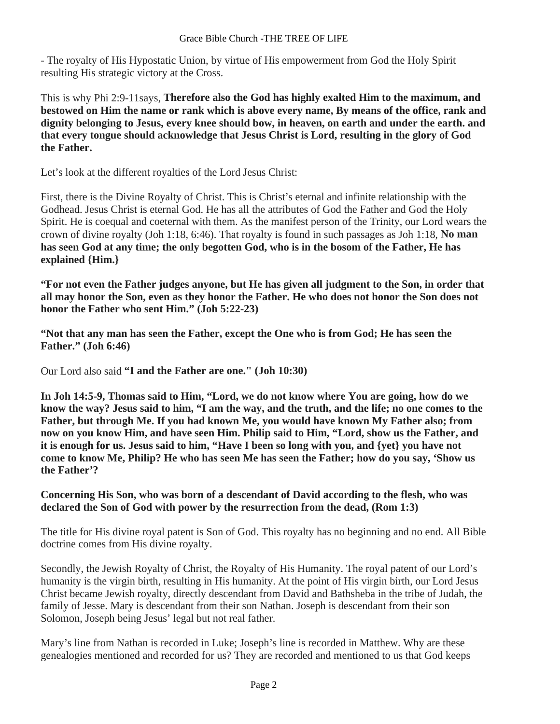- The royalty of His Hypostatic Union, by virtue of His empowerment from God the Holy Spirit resulting His strategic victory at the Cross.

This is why Phi 2:9-11says, **Therefore also the God has highly exalted Him to the maximum, and bestowed on Him the name or rank which is above every name, By means of the office, rank and dignity belonging to Jesus, every knee should bow, in heaven, on earth and under the earth. and that every tongue should acknowledge that Jesus Christ is Lord, resulting in the glory of God the Father.**

Let's look at the different royalties of the Lord Jesus Christ:

First, there is the Divine Royalty of Christ. This is Christ's eternal and infinite relationship with the Godhead. Jesus Christ is eternal God. He has all the attributes of God the Father and God the Holy Spirit. He is coequal and coeternal with them. As the manifest person of the Trinity, our Lord wears the crown of divine royalty (Joh 1:18, 6:46). That royalty is found in such passages as Joh 1:18, **No man has seen God at any time; the only begotten God, who is in the bosom of the Father, He has explained {Him.}**

**"For not even the Father judges anyone, but He has given all judgment to the Son, in order that all may honor the Son, even as they honor the Father. He who does not honor the Son does not honor the Father who sent Him." (Joh 5:22-23)**

**"Not that any man has seen the Father, except the One who is from God; He has seen the Father." (Joh 6:46)**

Our Lord also said **"I and the Father are one." (Joh 10:30)**

**In Joh 14:5-9, Thomas said to Him, "Lord, we do not know where You are going, how do we know the way? Jesus said to him, "I am the way, and the truth, and the life; no one comes to the Father, but through Me. If you had known Me, you would have known My Father also; from now on you know Him, and have seen Him. Philip said to Him, "Lord, show us the Father, and it is enough for us. Jesus said to him, "Have I been so long with you, and {yet} you have not come to know Me, Philip? He who has seen Me has seen the Father; how do you say, 'Show us the Father'?**

### **Concerning His Son, who was born of a descendant of David according to the flesh, who was declared the Son of God with power by the resurrection from the dead, (Rom 1:3)**

The title for His divine royal patent is Son of God. This royalty has no beginning and no end. All Bible doctrine comes from His divine royalty.

Secondly, the Jewish Royalty of Christ, the Royalty of His Humanity. The royal patent of our Lord's humanity is the virgin birth, resulting in His humanity. At the point of His virgin birth, our Lord Jesus Christ became Jewish royalty, directly descendant from David and Bathsheba in the tribe of Judah, the family of Jesse. Mary is descendant from their son Nathan. Joseph is descendant from their son Solomon, Joseph being Jesus' legal but not real father.

Mary's line from Nathan is recorded in Luke; Joseph's line is recorded in Matthew. Why are these genealogies mentioned and recorded for us? They are recorded and mentioned to us that God keeps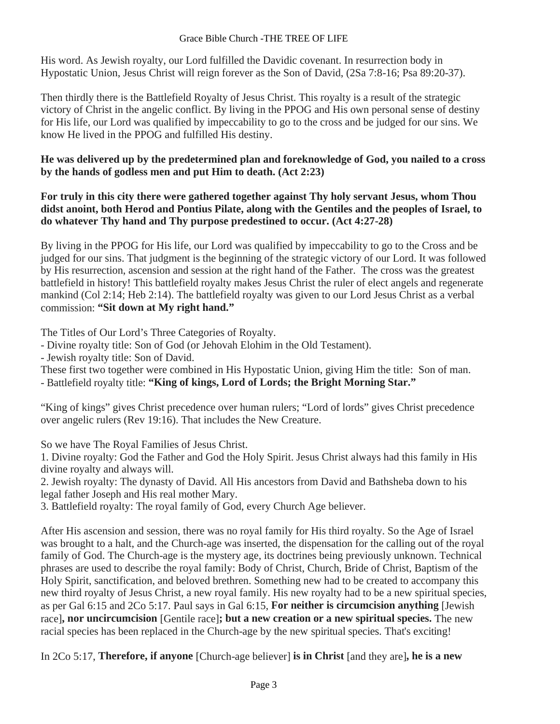His word. As Jewish royalty, our Lord fulfilled the Davidic covenant. In resurrection body in Hypostatic Union, Jesus Christ will reign forever as the Son of David, (2Sa 7:8-16; Psa 89:20-37).

Then thirdly there is the Battlefield Royalty of Jesus Christ. This royalty is a result of the strategic victory of Christ in the angelic conflict. By living in the PPOG and His own personal sense of destiny for His life, our Lord was qualified by impeccability to go to the cross and be judged for our sins. We know He lived in the PPOG and fulfilled His destiny.

**He was delivered up by the predetermined plan and foreknowledge of God, you nailed to a cross by the hands of godless men and put Him to death. (Act 2:23)**

**For truly in this city there were gathered together against Thy holy servant Jesus, whom Thou didst anoint, both Herod and Pontius Pilate, along with the Gentiles and the peoples of Israel, to do whatever Thy hand and Thy purpose predestined to occur. (Act 4:27-28)** 

By living in the PPOG for His life, our Lord was qualified by impeccability to go to the Cross and be judged for our sins. That judgment is the beginning of the strategic victory of our Lord. It was followed by His resurrection, ascension and session at the right hand of the Father. The cross was the greatest battlefield in history! This battlefield royalty makes Jesus Christ the ruler of elect angels and regenerate mankind (Col 2:14; Heb 2:14). The battlefield royalty was given to our Lord Jesus Christ as a verbal commission: **"Sit down at My right hand."**

The Titles of Our Lord's Three Categories of Royalty.

- Divine royalty title: Son of God (or Jehovah Elohim in the Old Testament).

- Jewish royalty title: Son of David.

These first two together were combined in His Hypostatic Union, giving Him the title: Son of man.

- Battlefield royalty title: **"King of kings, Lord of Lords; the Bright Morning Star."**

"King of kings" gives Christ precedence over human rulers; "Lord of lords" gives Christ precedence over angelic rulers (Rev 19:16). That includes the New Creature.

So we have The Royal Families of Jesus Christ.

1. Divine royalty: God the Father and God the Holy Spirit. Jesus Christ always had this family in His divine royalty and always will.

2. Jewish royalty: The dynasty of David. All His ancestors from David and Bathsheba down to his legal father Joseph and His real mother Mary.

3. Battlefield royalty: The royal family of God, every Church Age believer.

After His ascension and session, there was no royal family for His third royalty. So the Age of Israel was brought to a halt, and the Church-age was inserted, the dispensation for the calling out of the royal family of God. The Church-age is the mystery age, its doctrines being previously unknown. Technical phrases are used to describe the royal family: Body of Christ, Church, Bride of Christ, Baptism of the Holy Spirit, sanctification, and beloved brethren. Something new had to be created to accompany this new third royalty of Jesus Christ, a new royal family. His new royalty had to be a new spiritual species, as per Gal 6:15 and 2Co 5:17. Paul says in Gal 6:15, **For neither is circumcision anything** [Jewish race]**, nor uncircumcision** [Gentile race]**; but a new creation or a new spiritual species.** The new racial species has been replaced in the Church-age by the new spiritual species. That's exciting!

In 2Co 5:17, **Therefore, if anyone** [Church-age believer] **is in Christ** [and they are]**, he is a new**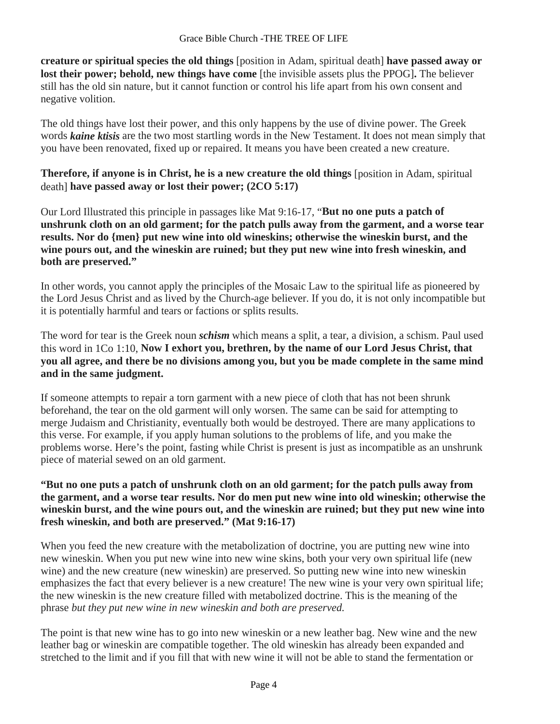**creature or spiritual species the old things** [position in Adam, spiritual death] **have passed away or lost their power; behold, new things have come** [the invisible assets plus the PPOG]**.** The believer still has the old sin nature, but it cannot function or control his life apart from his own consent and negative volition.

The old things have lost their power, and this only happens by the use of divine power. The Greek words *kaine ktisis* are the two most startling words in the New Testament. It does not mean simply that you have been renovated, fixed up or repaired. It means you have been created a new creature.

**Therefore, if anyone is in Christ, he is a new creature the old things** [position in Adam, spiritual death] **have passed away or lost their power; (2CO 5:17)**

Our Lord Illustrated this principle in passages like Mat 9:16-17, "**But no one puts a patch of unshrunk cloth on an old garment; for the patch pulls away from the garment, and a worse tear results. Nor do {men} put new wine into old wineskins; otherwise the wineskin burst, and the wine pours out, and the wineskin are ruined; but they put new wine into fresh wineskin, and both are preserved."**

In other words, you cannot apply the principles of the Mosaic Law to the spiritual life as pioneered by the Lord Jesus Christ and as lived by the Church-age believer. If you do, it is not only incompatible but it is potentially harmful and tears or factions or splits results.

The word for tear is the Greek noun *schism* which means a split, a tear, a division, a schism. Paul used this word in 1Co 1:10, **Now I exhort you, brethren, by the name of our Lord Jesus Christ, that you all agree, and there be no divisions among you, but you be made complete in the same mind and in the same judgment.**

If someone attempts to repair a torn garment with a new piece of cloth that has not been shrunk beforehand, the tear on the old garment will only worsen. The same can be said for attempting to merge Judaism and Christianity, eventually both would be destroyed. There are many applications to this verse. For example, if you apply human solutions to the problems of life, and you make the problems worse. Here's the point, fasting while Christ is present is just as incompatible as an unshrunk piece of material sewed on an old garment.

## **"But no one puts a patch of unshrunk cloth on an old garment; for the patch pulls away from the garment, and a worse tear results. Nor do men put new wine into old wineskin; otherwise the wineskin burst, and the wine pours out, and the wineskin are ruined; but they put new wine into fresh wineskin, and both are preserved." (Mat 9:16-17)**

When you feed the new creature with the metabolization of doctrine, you are putting new wine into new wineskin. When you put new wine into new wine skins, both your very own spiritual life (new wine) and the new creature (new wineskin) are preserved. So putting new wine into new wineskin emphasizes the fact that every believer is a new creature! The new wine is your very own spiritual life; the new wineskin is the new creature filled with metabolized doctrine. This is the meaning of the phrase *but they put new wine in new wineskin and both are preserved.*

The point is that new wine has to go into new wineskin or a new leather bag. New wine and the new leather bag or wineskin are compatible together. The old wineskin has already been expanded and stretched to the limit and if you fill that with new wine it will not be able to stand the fermentation or